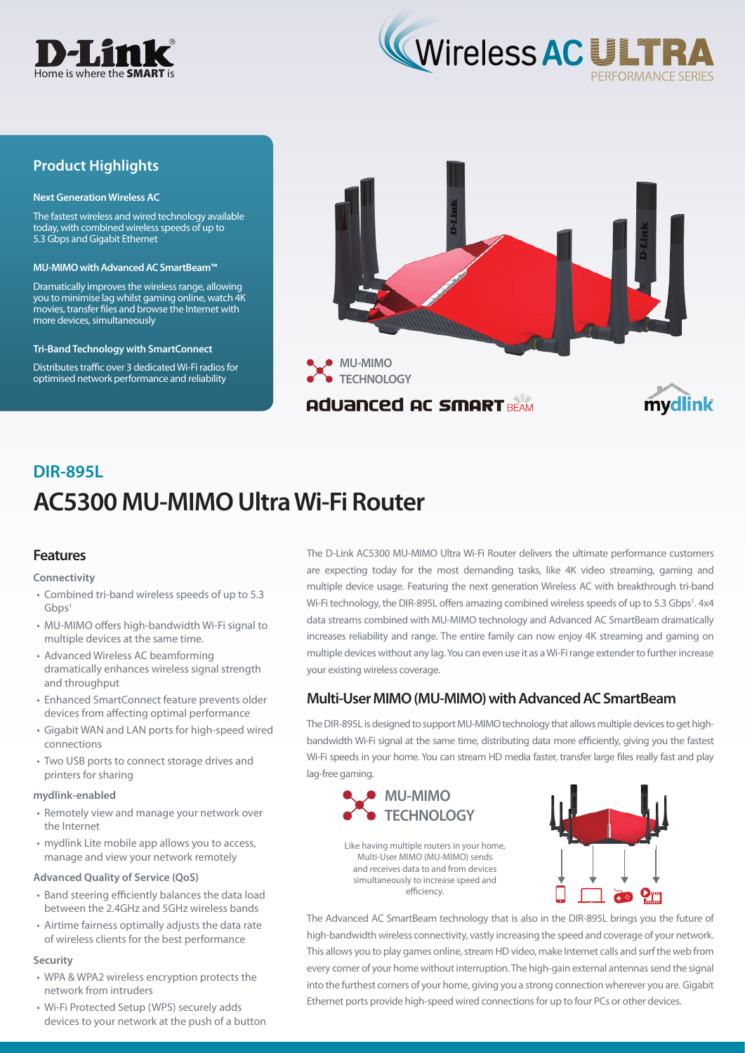



## **Product Highlights**

#### **Next Generation Wireless AC**

The fastest wireless and wired technology available today, with combined wireless speeds of up to 5.3 Gbps and Gigabit Ethernet

#### **MU-MIMO with Advanced AC SmartBeam™**

Dramatically improves the wireless range, allowing you to minimise lag whilst gaming online, watch 4K movies, transfer files and browse the Internet with more devices, simultaneously

#### **Tri-Band Technology with SmartConnect**

Distributes traffic over 3 dedicated Wi-Fi radios for optimised network performance and reliability



# **AC5300 MU-MIMO Ultra Wi-Fi Router DIR-895L**

### **Features**

#### **Connectivity**

- Combined tri-band wireless speeds of up to 5.3  $Ghps<sup>1</sup>$
- MU-MIMO offers high-bandwidth Wi-Fi signal to multiple devices at the same time.
- Advanced Wireless AC beamforming dramatically enhances wireless signal strength and throughput
- Enhanced SmartConnect feature prevents older devices from affecting optimal performance
- Gigabit WAN and LAN ports for high-speed wired connections
- Two USB ports to connect storage drives and printers for sharing

#### **mydlink-enabled**

- Remotely view and manage your network over the Internet
- mydlink Lite mobile app allows you to access, manage and view your network remotely

#### **Advanced Quality of Service (QoS)**

- Band steering efficiently balances the data load between the 2.4GHz and 5GHz wireless bands
- Airtime fairness optimally adjusts the data rate of wireless clients for the best performance

#### **Security**

- WPA & WPA2 wireless encryption protects the network from intruders
- Wi-Fi Protected Setup (WPS) securely adds devices to your network at the push of a button

The D-Link AC5300 MU-MIMO Ultra Wi-Fi Router delivers the ultimate performance customers are expecting today for the most demanding tasks, like 4K video streaming, gaming and multiple device usage. Featuring the next generation Wireless AC with breakthrough tri-band Wi-Fi technology, the DIR-895L offers amazing combined wireless speeds of up to 5.3 Gbps<sup>1</sup>. 4x4 data streams combined with MU-MIMO technology and Advanced AC SmartBeam dramatically increases reliability and range. The entire family can now enjoy 4K streaming and gaming on multiple devices without any lag. You can even use it as a Wi-Fi range extender to further increase your existing wireless coverage.

## **Multi-User MIMO (MU-MIMO) with Advanced AC SmartBeam**

The DIR-895L is designed to support MU-MIMO technology that allows multiple devices to get highbandwidth Wi-Fi signal at the same time, distributing data more efficiently, giving you the fastest Wi-Fi speeds in your home. You can stream HD media faster, transfer large files really fast and play lag-free gaming.



Like having multiple routers in your home, Multi-User MIMO (MU-MIMO) sends and receives data to and from devices simultaneously to increase speed and efficiency.

The Advanced AC SmartBeam technology that is also in the DIR-895L brings you the future of high-bandwidth wireless connectivity, vastly increasing the speed and coverage of your network. This allows you to play games online, stream HD video, make Internet calls and surf the web from every corner of your home without interruption. The high-gain external antennas send the signal into the furthest corners of your home, giving you a strong connection wherever you are. Gigabit Ethernet ports provide high-speed wired connections for up to four PCs or other devices.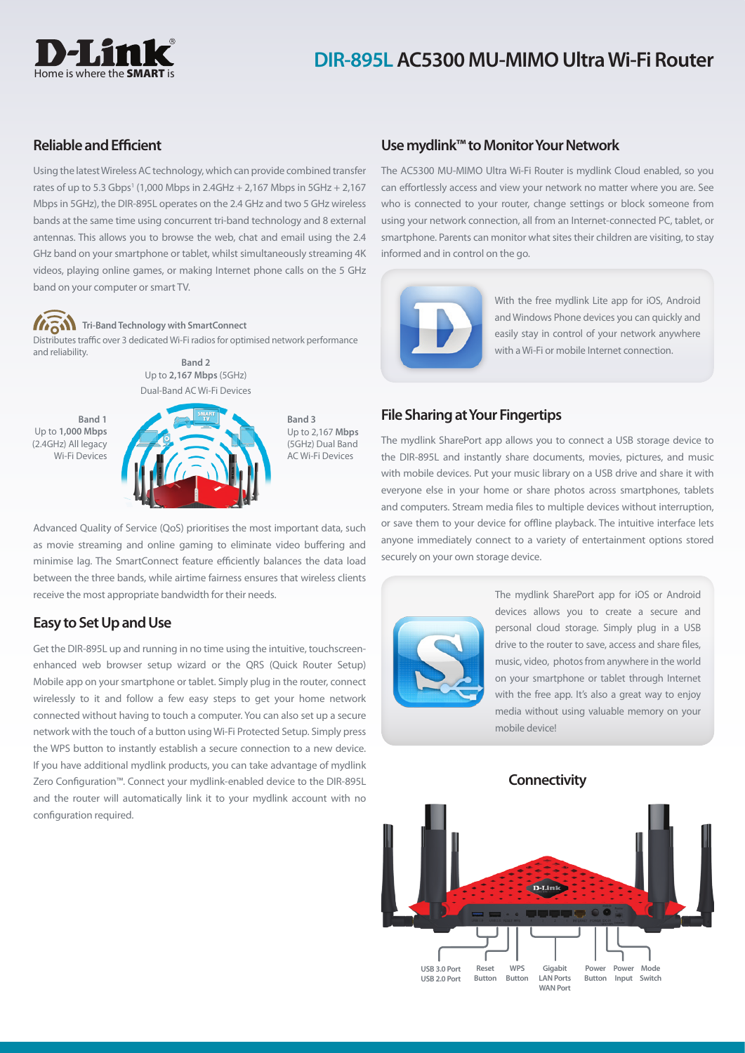

## **DIR-895L AC5300 MU-MIMO Ultra Wi-Fi Router**

## **Reliable and Efficient**

Using the latest Wireless AC technology, which can provide combined transfer rates of up to 5.3 Gbps<sup>1</sup> (1,000 Mbps in 2.4GHz + 2,167 Mbps in 5GHz + 2,167 Mbps in 5GHz), the DIR-895L operates on the 2.4 GHz and two 5 GHz wireless bands at the same time using concurrent tri-band technology and 8 external antennas. This allows you to browse the web, chat and email using the 2.4 GHz band on your smartphone or tablet, whilst simultaneously streaming 4K videos, playing online games, or making Internet phone calls on the 5 GHz band on your computer or smart TV.



#### **Tri-Band Technology with SmartConnect**

Distributes traffic over 3 dedicated Wi-Fi radios for optimised network performance and reliability.



**Band 3** Up to 2,167 **Mbps**  (5GHz) Dual Band AC Wi-Fi Devices

**Band 1** Up to **1,000 Mbps**  (2.4GHz) All legacy Wi-Fi Devices



Advanced Quality of Service (QoS) prioritises the most important data, such as movie streaming and online gaming to eliminate video buffering and minimise lag. The SmartConnect feature efficiently balances the data load between the three bands, while airtime fairness ensures that wireless clients receive the most appropriate bandwidth for their needs.

## **Easy to Set Up and Use**

Get the DIR-895L up and running in no time using the intuitive, touchscreenenhanced web browser setup wizard or the QRS (Quick Router Setup) Mobile app on your smartphone or tablet. Simply plug in the router, connect wirelessly to it and follow a few easy steps to get your home network connected without having to touch a computer. You can also set up a secure network with the touch of a button using Wi-Fi Protected Setup. Simply press the WPS button to instantly establish a secure connection to a new device. If you have additional mydlink products, you can take advantage of mydlink Zero Configuration™. Connect your mydlink-enabled device to the DIR-895L and the router will automatically link it to your mydlink account with no configuration required.

## **Use mydlink™ to Monitor Your Network**

The AC5300 MU-MIMO Ultra Wi-Fi Router is mydlink Cloud enabled, so you can effortlessly access and view your network no matter where you are. See who is connected to your router, change settings or block someone from using your network connection, all from an Internet-connected PC, tablet, or smartphone. Parents can monitor what sites their children are visiting, to stay informed and in control on the go.



With the free mydlink Lite app for iOS, Android and Windows Phone devices you can quickly and easily stay in control of your network anywhere with a Wi-Fi or mobile Internet connection.

## **File Sharing at Your Fingertips**

The mydlink SharePort app allows you to connect a USB storage device to the DIR-895L and instantly share documents, movies, pictures, and music with mobile devices. Put your music library on a USB drive and share it with everyone else in your home or share photos across smartphones, tablets and computers. Stream media files to multiple devices without interruption, or save them to your device for offline playback. The intuitive interface lets anyone immediately connect to a variety of entertainment options stored securely on your own storage device.



The mydlink SharePort app for iOS or Android devices allows you to create a secure and personal cloud storage. Simply plug in a USB drive to the router to save, access and share files, music, video, photos from anywhere in the world on your smartphone or tablet through Internet with the free app. It's also a great way to enjoy media without using valuable memory on your mobile device!

**Connectivity**